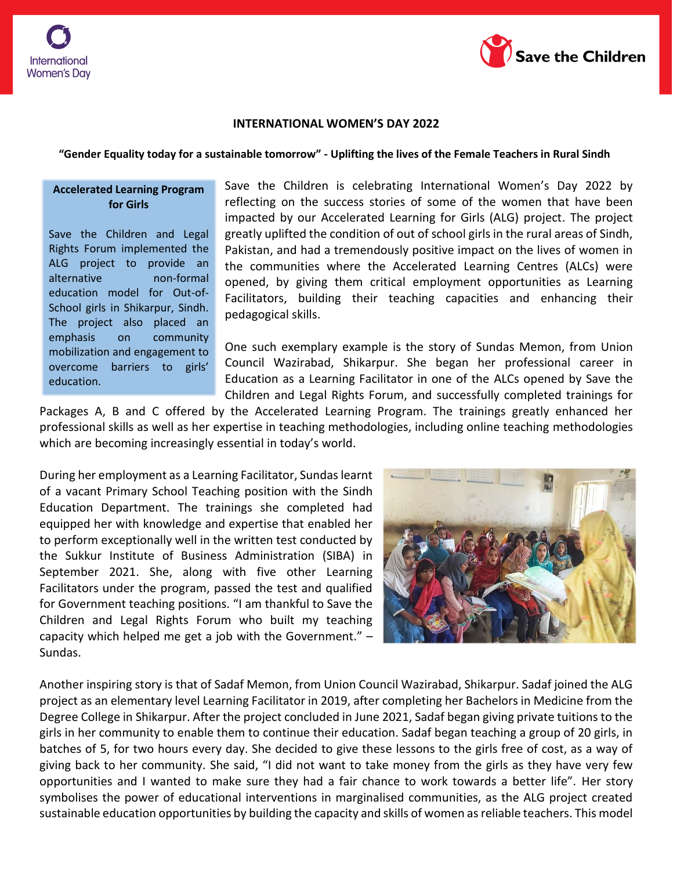

## **INTERNATIONAL WOMEN'S DAY 2022**

## **"Gender Equality today for a sustainable tomorrow" - Uplifting the lives of the Female Teachers in Rural Sindh**

## **Accelerated Learning Program for Girls**

Save the Children and Legal Rights Forum implemented the ALG project to provide an alternative non-formal education model for Out-of-School girls in Shikarpur, Sindh. The project also placed an emphasis on community mobilization and engagement to overcome barriers to girls' education.

Save the Children is celebrating International Women's Day 2022 by reflecting on the success stories of some of the women that have been impacted by our Accelerated Learning for Girls (ALG) project. The project greatly uplifted the condition of out of school girls in the rural areas of Sindh, Pakistan, and had a tremendously positive impact on the lives of women in the communities where the Accelerated Learning Centres (ALCs) were opened, by giving them critical employment opportunities as Learning Facilitators, building their teaching capacities and enhancing their pedagogical skills.

One such exemplary example is the story of Sundas Memon, from Union Council Wazirabad, Shikarpur. She began her professional career in Education as a Learning Facilitator in one of the ALCs opened by Save the Children and Legal Rights Forum, and successfully completed trainings for

Packages A, B and C offered by the Accelerated Learning Program. The trainings greatly enhanced her professional skills as well as her expertise in teaching methodologies, including online teaching methodologies which are becoming increasingly essential in today's world.

During her employment as a Learning Facilitator, Sundas learnt of a vacant Primary School Teaching position with the Sindh Education Department. The trainings she completed had equipped her with knowledge and expertise that enabled her to perform exceptionally well in the written test conducted by the Sukkur Institute of Business Administration (SIBA) in September 2021. She, along with five other Learning Facilitators under the program, passed the test and qualified for Government teaching positions. "I am thankful to Save the Children and Legal Rights Forum who built my teaching capacity which helped me get a job with the Government." – Sundas.



Another inspiring story is that of Sadaf Memon, from Union Council Wazirabad, Shikarpur. Sadaf joined the ALG project as an elementary level Learning Facilitator in 2019, after completing her Bachelors in Medicine from the Degree College in Shikarpur. After the project concluded in June 2021, Sadaf began giving private tuitions to the girls in her community to enable them to continue their education. Sadaf began teaching a group of 20 girls, in batches of 5, for two hours every day. She decided to give these lessons to the girls free of cost, as a way of giving back to her community. She said, "I did not want to take money from the girls as they have very few opportunities and I wanted to make sure they had a fair chance to work towards a better life". Her story symbolises the power of educational interventions in marginalised communities, as the ALG project created sustainable education opportunities by building the capacity and skills of women as reliable teachers. This model